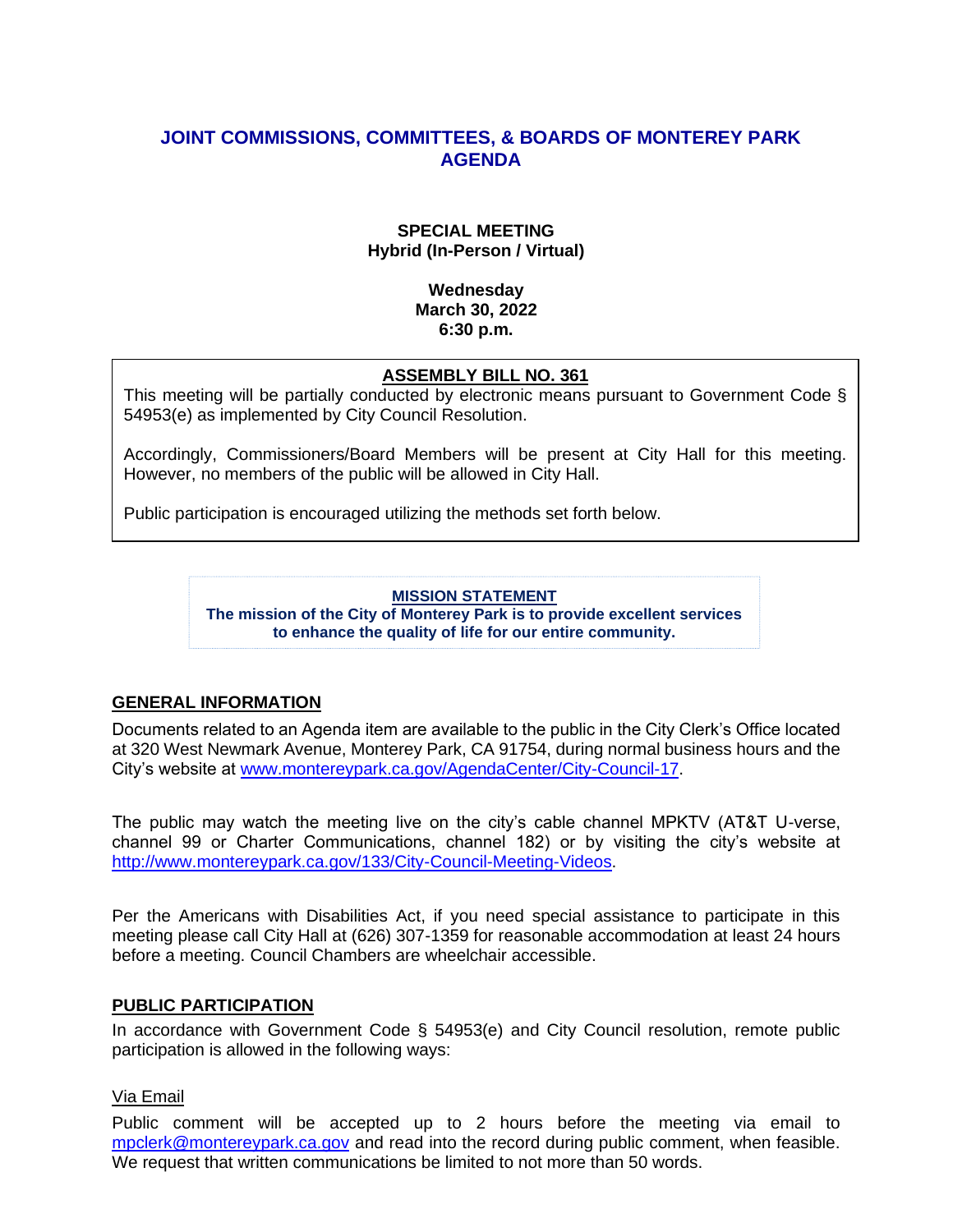# **JOINT COMMISSIONS, COMMITTEES, & BOARDS OF MONTEREY PARK AGENDA**

### **SPECIAL MEETING Hybrid (In-Person / Virtual)**

### **Wednesday March 30, 2022 6:30 p.m.**

### **ASSEMBLY BILL NO. 361**

This meeting will be partially conducted by electronic means pursuant to Government Code § 54953(e) as implemented by City Council Resolution.

Accordingly, Commissioners/Board Members will be present at City Hall for this meeting. However, no members of the public will be allowed in City Hall.

Public participation is encouraged utilizing the methods set forth below.

#### **MISSION STATEMENT**

**The mission of the City of Monterey Park is to provide excellent services to enhance the quality of life for our entire community.**

### **GENERAL INFORMATION**

Documents related to an Agenda item are available to the public in the City Clerk's Office located at 320 West Newmark Avenue, Monterey Park, CA 91754, during normal business hours and the City's website at [www.montereypark.ca.gov/AgendaCenter/City-Council-17.](http://www.montereypark.ca.gov/AgendaCenter/City-Council-17)

The public may watch the meeting live on the city's cable channel MPKTV (AT&T U-verse, channel 99 or Charter Communications, channel 182) or by visiting the city's website at [http://www.montereypark.ca.gov/133/City-Council-Meeting-Videos.](http://www.montereypark.ca.gov/133/City-Council-Meeting-Videos)

Per the Americans with Disabilities Act, if you need special assistance to participate in this meeting please call City Hall at (626) 307-1359 for reasonable accommodation at least 24 hours before a meeting. Council Chambers are wheelchair accessible.

#### **PUBLIC PARTICIPATION**

In accordance with Government Code § 54953(e) and City Council resolution, remote public participation is allowed in the following ways:

#### Via Email

Public comment will be accepted up to 2 hours before the meeting via email to [mpclerk@montereypark.ca.gov](mailto:mpclerk@montereypark.ca.gov) and read into the record during public comment, when feasible. We request that written communications be limited to not more than 50 words.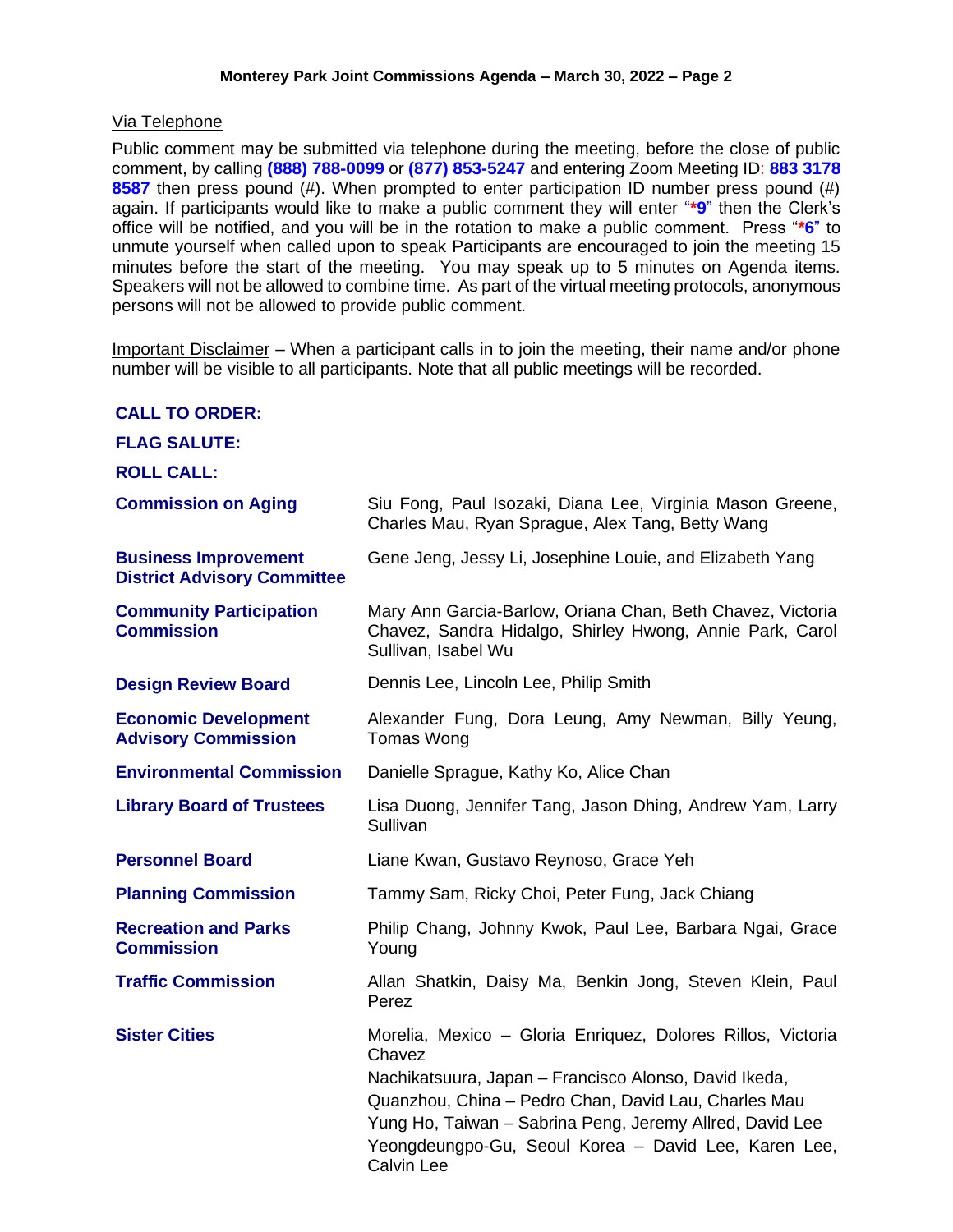### Via Telephone

Public comment may be submitted via telephone during the meeting, before the close of public comment, by calling **(888) 788-0099** or **(877) 853-5247** and entering Zoom Meeting ID: **883 3178 8587** then press pound (#). When prompted to enter participation ID number press pound (#) again. If participants would like to make a public comment they will enter "**\*9**" then the Clerk's office will be notified, and you will be in the rotation to make a public comment. Press "**\*6**" to unmute yourself when called upon to speak Participants are encouraged to join the meeting 15 minutes before the start of the meeting. You may speak up to 5 minutes on Agenda items. Speakers will not be allowed to combine time. As part of the virtual meeting protocols, anonymous persons will not be allowed to provide public comment.

Important Disclaimer – When a participant calls in to join the meeting, their name and/or phone number will be visible to all participants. Note that all public meetings will be recorded.

| <b>CALL TO ORDER:</b>                                             |                                                                                                                                                                                                                                                                                                                                 |
|-------------------------------------------------------------------|---------------------------------------------------------------------------------------------------------------------------------------------------------------------------------------------------------------------------------------------------------------------------------------------------------------------------------|
| <b>FLAG SALUTE:</b>                                               |                                                                                                                                                                                                                                                                                                                                 |
| <b>ROLL CALL:</b>                                                 |                                                                                                                                                                                                                                                                                                                                 |
| <b>Commission on Aging</b>                                        | Siu Fong, Paul Isozaki, Diana Lee, Virginia Mason Greene,<br>Charles Mau, Ryan Sprague, Alex Tang, Betty Wang                                                                                                                                                                                                                   |
| <b>Business Improvement</b><br><b>District Advisory Committee</b> | Gene Jeng, Jessy Li, Josephine Louie, and Elizabeth Yang                                                                                                                                                                                                                                                                        |
| <b>Community Participation</b><br><b>Commission</b>               | Mary Ann Garcia-Barlow, Oriana Chan, Beth Chavez, Victoria<br>Chavez, Sandra Hidalgo, Shirley Hwong, Annie Park, Carol<br>Sullivan, Isabel Wu                                                                                                                                                                                   |
| <b>Design Review Board</b>                                        | Dennis Lee, Lincoln Lee, Philip Smith                                                                                                                                                                                                                                                                                           |
| <b>Economic Development</b><br><b>Advisory Commission</b>         | Alexander Fung, Dora Leung, Amy Newman, Billy Yeung,<br><b>Tomas Wong</b>                                                                                                                                                                                                                                                       |
| <b>Environmental Commission</b>                                   | Danielle Sprague, Kathy Ko, Alice Chan                                                                                                                                                                                                                                                                                          |
| <b>Library Board of Trustees</b>                                  | Lisa Duong, Jennifer Tang, Jason Dhing, Andrew Yam, Larry<br>Sullivan                                                                                                                                                                                                                                                           |
| <b>Personnel Board</b>                                            | Liane Kwan, Gustavo Reynoso, Grace Yeh                                                                                                                                                                                                                                                                                          |
| <b>Planning Commission</b>                                        | Tammy Sam, Ricky Choi, Peter Fung, Jack Chiang                                                                                                                                                                                                                                                                                  |
| <b>Recreation and Parks</b><br><b>Commission</b>                  | Philip Chang, Johnny Kwok, Paul Lee, Barbara Ngai, Grace<br>Young                                                                                                                                                                                                                                                               |
| <b>Traffic Commission</b>                                         | Allan Shatkin, Daisy Ma, Benkin Jong, Steven Klein, Paul<br>Perez                                                                                                                                                                                                                                                               |
| <b>Sister Cities</b>                                              | Morelia, Mexico - Gloria Enriquez, Dolores Rillos, Victoria<br>Chavez<br>Nachikatsuura, Japan – Francisco Alonso, David Ikeda,<br>Quanzhou, China - Pedro Chan, David Lau, Charles Mau<br>Yung Ho, Taiwan - Sabrina Peng, Jeremy Allred, David Lee<br>Yeongdeungpo-Gu, Seoul Korea - David Lee, Karen Lee,<br><b>Calvin Lee</b> |